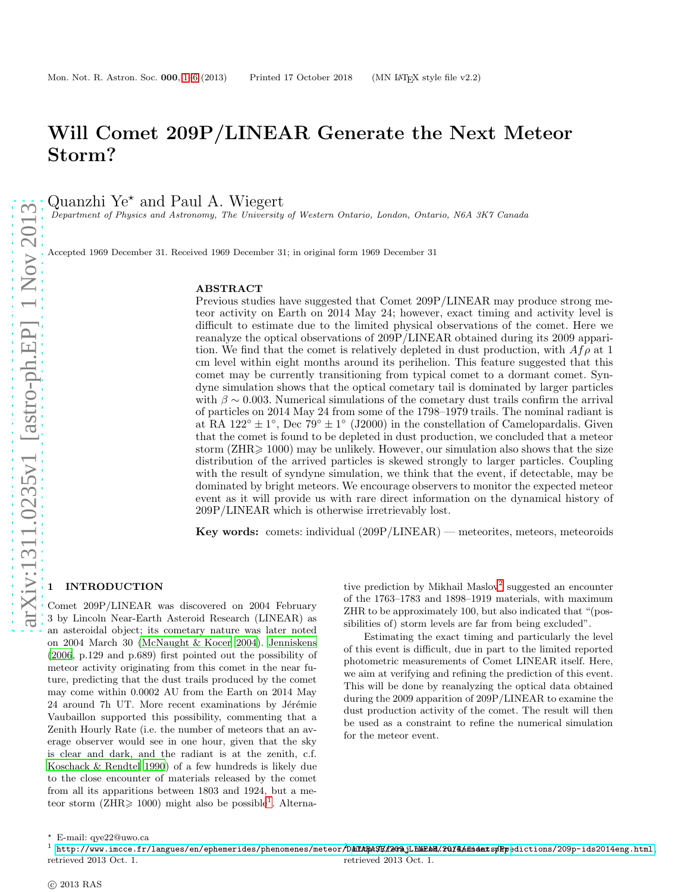# Will Comet 209P/LINEAR Generate the Next Meteor Storm?

Quanzhi Ye<sup>\*</sup> and Paul A. Wiegert

Department of Physics and Astronomy, The University of Western Ontario, London, Ontario, N6A 3K7 Canada

Accepted 1969 December 31. Received 1969 December 31; in original form 1969 December 31

#### ABSTRACT

Previous studies have suggested that Comet 209P/LINEAR may produce strong meteor activity on Earth on 2014 May 24; however, exact timing and activity level is difficult to estimate due to the limited physical observations of the comet. Here we reanalyze the optical observations of 209P/LINEAR obtained during its 2009 apparition. We find that the comet is relatively depleted in dust production, with  $A f \rho$  at 1 cm level within eight months around its perihelion. This feature suggested that this comet may be currently transitioning from typical comet to a dormant comet. Syndyne simulation shows that the optical cometary tail is dominated by larger particles with  $\beta \sim 0.003$ . Numerical simulations of the cometary dust trails confirm the arrival of particles on 2014 May 24 from some of the 1798–1979 trails. The nominal radiant is at RA 122°  $\pm$  1°, Dec 79°  $\pm$  1° (J2000) in the constellation of Camelopardalis. Given that the comet is found to be depleted in dust production, we concluded that a meteor storm  $(ZHR \ge 1000)$  may be unlikely. However, our simulation also shows that the size distribution of the arrived particles is skewed strongly to larger particles. Coupling with the result of syndyne simulation, we think that the event, if detectable, may be dominated by bright meteors. We encourage observers to monitor the expected meteor event as it will provide us with rare direct information on the dynamical history of 209P/LINEAR which is otherwise irretrievably lost.

Key words: comets: individual (209P/LINEAR) — meteorites, meteors, meteoroids

### <span id="page-0-0"></span>**INTRODUCTION**

Comet 209P/LINEAR was discovered on 2004 February 3 by Lincoln Near-Earth Asteroid Research (LINEAR) as an asteroidal object; its cometary nature was later noted on 2004 March 30 [\(McNaught & Kocer 2004](#page-5-0)). [Jenniskens](#page-5-1) [\(2006](#page-5-1), p.129 and p.689) first pointed out the possibility of meteor activity originating from this comet in the near future, predicting that the dust trails produced by the comet may come within 0.0002 AU from the Earth on 2014 May 24 around 7h UT. More recent examinations by Jérémie Vaubaillon supported this possibility, commenting that a Zenith Hourly Rate (i.e. the number of meteors that an average observer would see in one hour, given that the sky is clear and dark, and the radiant is at the zenith, c.f. [Koschack & Rendtel 1990\)](#page-5-2) of a few hundreds is likely due to the close encounter of materials released by the comet from all its apparitions between 1803 and 1924, but a meteor storm ( $\overline{\text{ZHR}} \geq 1000$  $\overline{\text{ZHR}} \geq 1000$  $\overline{\text{ZHR}} \geq 1000$ ) might also be possible<sup>1</sup>. Alterna-

tive prediction by Mikhail Maslov<sup>[2](#page-0-2)</sup> suggested an encounter of the 1763–1783 and 1898–1919 materials, with maximum ZHR to be approximately 100, but also indicated that "(possibilities of) storm levels are far from being excluded".

<span id="page-0-2"></span>Estimating the exact timing and particularly the level of this event is difficult, due in part to the limited reported photometric measurements of Comet LINEAR itself. Here, we aim at verifying and refining the prediction of this event. This will be done by reanalyzing the optical data obtained during the 2009 apparition of 209P/LINEAR to examine the dust production activity of the comet. The result will then be used as a constraint to refine the numerical simulation for the meteor event.

arXiv:1311.0235v1 [astro-ph.EP] 1 Nov 2013 [arXiv:1311.0235v1 \[astro-ph.EP\] 1 Nov 2013](http://arxiv.org/abs/1311.0235v1)

<sup>⋆</sup> E-mail: qye22@uwo.ca

<span id="page-0-1"></span> $^1$  http://www.imcce.fr/langues/en/ephemerides/phenomenes/meteor $\hat{\rho}$ hitABASE/2020\_lhikEbM/2014.html, $^2$ phpedictions/209p-ids2014eng.html, retrieved 2013 Oct. 1. retrieved 2013 Oct. 1.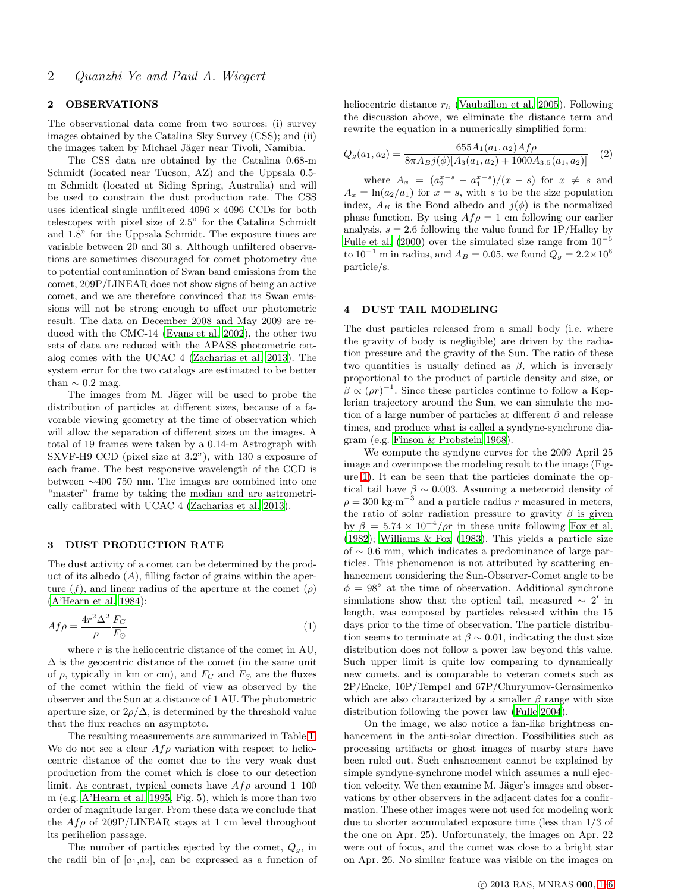## 2 OBSERVATIONS

The observational data come from two sources: (i) survey images obtained by the Catalina Sky Survey (CSS); and (ii) the images taken by Michael Jäger near Tivoli, Namibia.

The CSS data are obtained by the Catalina 0.68-m Schmidt (located near Tucson, AZ) and the Uppsala 0.5 m Schmidt (located at Siding Spring, Australia) and will be used to constrain the dust production rate. The CSS uses identical single unfiltered  $4096 \times 4096$  CCDs for both telescopes with pixel size of 2.5" for the Catalina Schmidt and 1.8" for the Uppsala Schmidt. The exposure times are variable between 20 and 30 s. Although unfiltered observations are sometimes discouraged for comet photometry due to potential contamination of Swan band emissions from the comet, 209P/LINEAR does not show signs of being an active comet, and we are therefore convinced that its Swan emissions will not be strong enough to affect our photometric result. The data on December 2008 and May 2009 are reduced with the CMC-14 [\(Evans et al. 2002\)](#page-5-3), the other two sets of data are reduced with the APASS photometric catalog comes with the UCAC 4 [\(Zacharias et al. 2013](#page-5-4)). The system error for the two catalogs are estimated to be better than  $\sim 0.2$  mag.

The images from M. Jäger will be used to probe the distribution of particles at different sizes, because of a favorable viewing geometry at the time of observation which will allow the separation of different sizes on the images. A total of 19 frames were taken by a 0.14-m Astrograph with SXVF-H9 CCD (pixel size at 3.2"), with 130 s exposure of each frame. The best responsive wavelength of the CCD is between ∼400–750 nm. The images are combined into one "master" frame by taking the median and are astrometrically calibrated with UCAC 4 [\(Zacharias et al. 2013](#page-5-4)).

#### 3 DUST PRODUCTION RATE

The dust activity of a comet can be determined by the product of its albedo  $(A)$ , filling factor of grains within the aperture  $(f)$ , and linear radius of the aperture at the comet  $(\rho)$ [\(A'Hearn et al. 1984](#page-5-5)):

$$
Af\rho = \frac{4r^2\Delta^2}{\rho} \frac{F_C}{F_{\odot}}\tag{1}
$$

where  $r$  is the heliocentric distance of the comet in AU,  $\Delta$  is the geocentric distance of the comet (in the same unit of  $\rho$ , typically in km or cm), and  $F_C$  and  $F_{\odot}$  are the fluxes of the comet within the field of view as observed by the observer and the Sun at a distance of 1 AU. The photometric aperture size, or  $2\rho/\Delta$ , is determined by the threshold value that the flux reaches an asymptote.

The resulting measurements are summarized in Table [1.](#page-2-0) We do not see a clear  $Af\rho$  variation with respect to heliocentric distance of the comet due to the very weak dust production from the comet which is close to our detection limit. As contrast, typical comets have  $Af\rho$  around 1–100 m (e.g. [A'Hearn et al. 1995](#page-5-6), Fig. 5), which is more than two order of magnitude larger. From these data we conclude that the  $Af\rho$  of 209P/LINEAR stays at 1 cm level throughout its perihelion passage.

The number of particles ejected by the comet,  $Q<sub>g</sub>$ , in the radii bin of  $[a_1,a_2]$ , can be expressed as a function of heliocentric distance  $r_h$  [\(Vaubaillon et al. 2005](#page-5-7)). Following the discussion above, we eliminate the distance term and rewrite the equation in a numerically simplified form:

$$
Q_g(a_1, a_2) = \frac{655A_1(a_1, a_2)Af\rho}{8\pi A_B j(\phi)[A_3(a_1, a_2) + 1000A_{3.5}(a_1, a_2)]} \tag{2}
$$

where  $A_x = (a_2^{x-s} - a_1^{x-s})/(x-s)$  for  $x \neq s$  and  $A_x = \ln(a_2/a_1)$  for  $x = s$ , with s to be the size population index,  $A_B$  is the Bond albedo and  $j(\phi)$  is the normalized phase function. By using  $Af \rho = 1$  cm following our earlier analysis,  $s = 2.6$  following the value found for  $1P/H$ alley by [Fulle et al. \(2000\)](#page-5-8) over the simulated size range from  $10^{-5}$ to  $10^{-1}$  m in radius, and  $A_B = 0.05$ , we found  $Q_g = 2.2 \times 10^6$ particle/s.

### 4 DUST TAIL MODELING

The dust particles released from a small body (i.e. where the gravity of body is negligible) are driven by the radiation pressure and the gravity of the Sun. The ratio of these two quantities is usually defined as  $\beta$ , which is inversely proportional to the product of particle density and size, or  $\beta \propto (\rho r)^{-1}$ . Since these particles continue to follow a Keplerian trajectory around the Sun, we can simulate the motion of a large number of particles at different  $\beta$  and release times, and produce what is called a syndyne-synchrone diagram (e.g. [Finson & Probstein 1968](#page-5-9)).

We compute the syndyne curves for the 2009 April 25 image and overimpose the modeling result to the image (Figure [1\)](#page-2-1). It can be seen that the particles dominate the optical tail have  $\beta \sim 0.003$ . Assuming a meteoroid density of  $\rho = 300 \text{ kg} \cdot \text{m}^{-3}$  and a particle radius r measured in meters, the ratio of solar radiation pressure to gravity  $\beta$  is given by  $\beta = 5.74 \times 10^{-4} / \rho r$  in these units following [Fox et al.](#page-5-10) [\(1982](#page-5-10)); [Williams & Fox \(1983](#page-5-11)). This yields a particle size of ∼ 0.6 mm, which indicates a predominance of large particles. This phenomenon is not attributed by scattering enhancement considering the Sun-Observer-Comet angle to be  $\phi = 98^\circ$  at the time of observation. Additional synchrone simulations show that the optical tail, measured  $\sim 2'$  in length, was composed by particles released within the 15 days prior to the time of observation. The particle distribution seems to terminate at  $\beta \sim 0.01$ , indicating the dust size distribution does not follow a power law beyond this value. Such upper limit is quite low comparing to dynamically new comets, and is comparable to veteran comets such as 2P/Encke, 10P/Tempel and 67P/Churyumov-Gerasimenko which are also characterized by a smaller  $\beta$  range with size distribution following the power law [\(Fulle 2004](#page-5-12)).

On the image, we also notice a fan-like brightness enhancement in the anti-solar direction. Possibilities such as processing artifacts or ghost images of nearby stars have been ruled out. Such enhancement cannot be explained by simple syndyne-synchrone model which assumes a null ejection velocity. We then examine M. Jäger's images and observations by other observers in the adjacent dates for a confirmation. These other images were not used for modeling work due to shorter accumulated exposure time (less than 1/3 of the one on Apr. 25). Unfortunately, the images on Apr. 22 were out of focus, and the comet was close to a bright star on Apr. 26. No similar feature was visible on the images on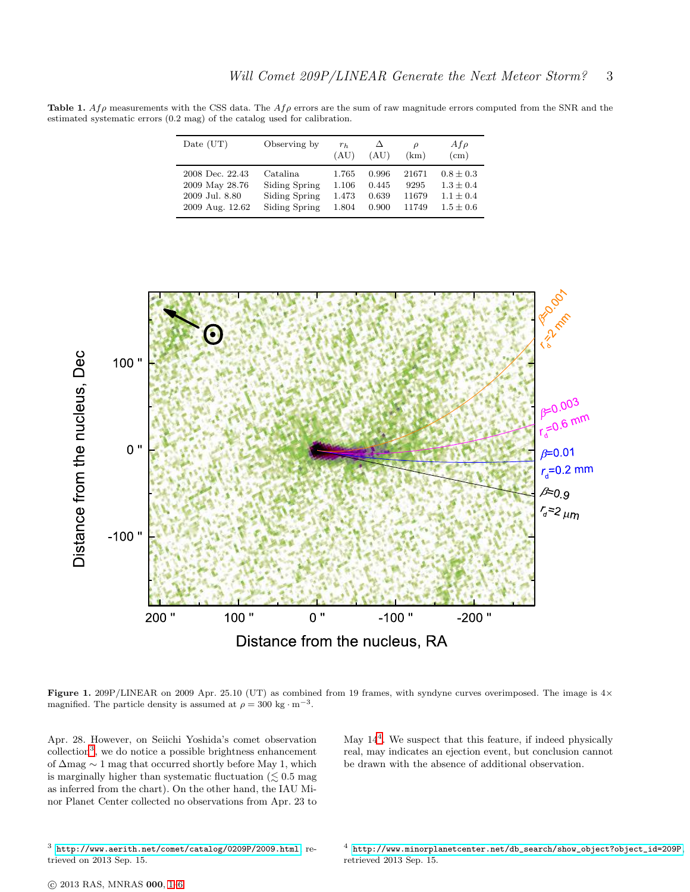<span id="page-2-0"></span>Table 1.  $Af\rho$  measurements with the CSS data. The  $Af\rho$  errors are the sum of raw magnitude errors computed from the SNR and the estimated systematic errors (0.2 mag) of the catalog used for calibration.

| Date (UT)       | Observing by  | $r_h$<br>(AU) | (AU)  | (km)  | $A f \rho$<br>(cm) |
|-----------------|---------------|---------------|-------|-------|--------------------|
| 2008 Dec. 22.43 | Catalina      | 1.765         | 0.996 | 21671 | $0.8 \pm 0.3$      |
| 2009 May 28.76  | Siding Spring | 1.106         | 0.445 | 9295  | $1.3 \pm 0.4$      |
| 2009 Jul. 8.80  | Siding Spring | 1.473         | 0.639 | 11679 | $1.1 + 0.4$        |
| 2009 Aug. 12.62 | Siding Spring | 1.804         | 0.900 | 11749 | $1.5 \pm 0.6$      |



<span id="page-2-1"></span>Figure 1. 209P/LINEAR on 2009 Apr. 25.10 (UT) as combined from 19 frames, with syndyne curves overimposed. The image is  $4\times$ magnified. The particle density is assumed at  $\rho = 300 \text{ kg} \cdot \text{m}^{-3}$ .

Apr. 28. However, on Seiichi Yoshida's comet observation collection<sup>[3](#page-2-2)</sup>, we do notice a possible brightness enhancement of ∆mag ∼ 1 mag that occurred shortly before May 1, which is marginally higher than systematic fluctuation  $(\leq 0.5 \text{ mag})$ as inferred from the chart). On the other hand, the IAU Minor Planet Center collected no observations from Apr. 23 to

May 14[4](#page-2-3) . We suspect that this feature, if indeed physically real, may indicates an ejection event, but conclusion cannot be drawn with the absence of additional observation.

<span id="page-2-2"></span><sup>3</sup> <http://www.aerith.net/comet/catalog/0209P/2009.html>, retrieved on 2013 Sep. 15.

<span id="page-2-3"></span><sup>4</sup> [http://www.minorplanetcenter.net/db\\_search/show\\_object?object\\_id=209P](http://www.minorplanetcenter.net/db_search/show_object?object_id=209P), retrieved 2013 Sep. 15.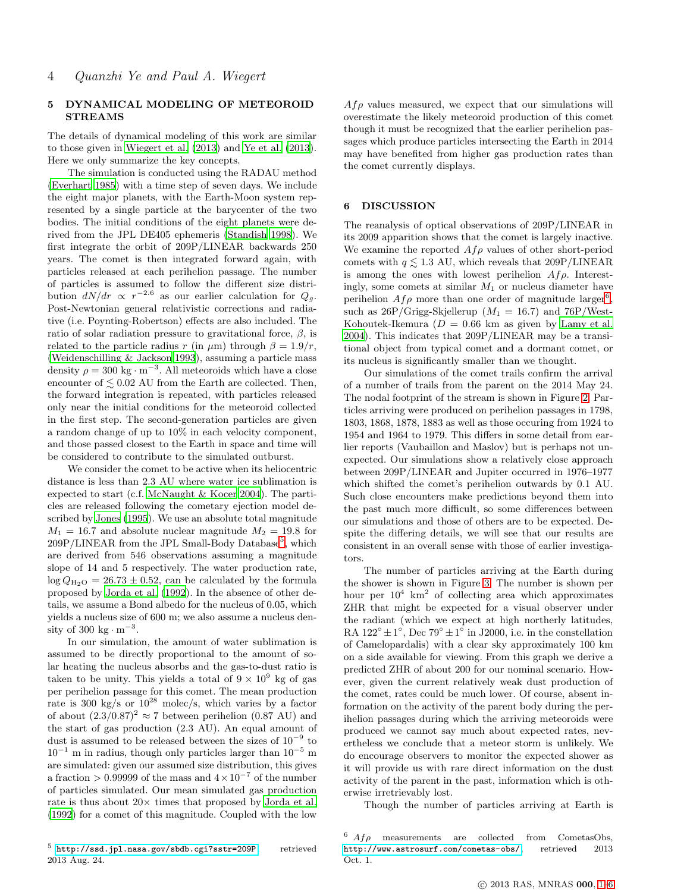#### 5 DYNAMICAL MODELING OF METEOROID STREAMS

The details of dynamical modeling of this work are similar to those given in [Wiegert et al. \(2013](#page-5-13)) and [Ye et al. \(2013](#page-5-14)). Here we only summarize the key concepts.

The simulation is conducted using the RADAU method [\(Everhart 1985](#page-5-15)) with a time step of seven days. We include the eight major planets, with the Earth-Moon system represented by a single particle at the barycenter of the two bodies. The initial conditions of the eight planets were derived from the JPL DE405 ephemeris [\(Standish 1998\)](#page-5-16). We first integrate the orbit of 209P/LINEAR backwards 250 years. The comet is then integrated forward again, with particles released at each perihelion passage. The number of particles is assumed to follow the different size distribution  $dN/dr \propto r^{-2.6}$  as our earlier calculation for  $Q_g$ . Post-Newtonian general relativistic corrections and radiative (i.e. Poynting-Robertson) effects are also included. The ratio of solar radiation pressure to gravitational force,  $\beta$ , is related to the particle radius r (in  $\mu$ m) through  $\beta = 1.9/r$ , [\(Weidenschilling & Jackson 1993](#page-5-17)), assuming a particle mass density  $\rho = 300 \text{ kg} \cdot \text{m}^{-3}$ . All meteoroids which have a close encounter of  $\leq 0.02$  AU from the Earth are collected. Then, the forward integration is repeated, with particles released only near the initial conditions for the meteoroid collected in the first step. The second-generation particles are given a random change of up to 10% in each velocity component, and those passed closest to the Earth in space and time will be considered to contribute to the simulated outburst.

We consider the comet to be active when its heliocentric distance is less than 2.3 AU where water ice sublimation is expected to start (c.f. [McNaught & Kocer 2004](#page-5-0)). The particles are released following the cometary ejection model described by [Jones \(1995](#page-5-18)). We use an absolute total magnitude  $M_1 = 16.7$  and absolute nuclear magnitude  $M_2 = 19.8$  for  $209P/LINEAR$  from the JPL Small-Body Database<sup>[5](#page-3-0)</sup>, which are derived from 546 observations assuming a magnitude slope of 14 and 5 respectively. The water production rate,  $\log Q_{\text{H}_2\text{O}} = 26.73 \pm 0.52$ , can be calculated by the formula proposed by [Jorda et al. \(1992\)](#page-5-19). In the absence of other details, we assume a Bond albedo for the nucleus of 0.05, which yields a nucleus size of 600 m; we also assume a nucleus density of 300 kg  $\cdot$  m<sup>-3</sup>.

<span id="page-3-0"></span>In our simulation, the amount of water sublimation is assumed to be directly proportional to the amount of solar heating the nucleus absorbs and the gas-to-dust ratio is taken to be unity. This yields a total of  $9 \times 10^9$  kg of gas per perihelion passage for this comet. The mean production rate is 300 kg/s or  $10^{28}$  molec/s, which varies by a factor of about  $(2.3/0.87)^2 \approx 7$  between perihelion  $(0.87 \text{ AU})$  and the start of gas production (2.3 AU). An equal amount of dust is assumed to be released between the sizes of 10<sup>−</sup><sup>9</sup> to  $10^{-1}$  m in radius, though only particles larger than  $10^{-5}$  m are simulated: given our assumed size distribution, this gives a fraction > 0.99999 of the mass and  $4 \times 10^{-7}$  of the number of particles simulated. Our mean simulated gas production rate is thus about  $20\times$  times that proposed by [Jorda et al.](#page-5-19) [\(1992](#page-5-19)) for a comet of this magnitude. Coupled with the low

 $Af\varrho$  values measured, we expect that our simulations will overestimate the likely meteoroid production of this comet though it must be recognized that the earlier perihelion passages which produce particles intersecting the Earth in 2014 may have benefited from higher gas production rates than the comet currently displays.

#### 6 DISCUSSION

The reanalysis of optical observations of 209P/LINEAR in its 2009 apparition shows that the comet is largely inactive. We examine the reported  $Af\rho$  values of other short-period comets with  $q \leq 1.3$  AU, which reveals that 209P/LINEAR is among the ones with lowest perihelion  $Af\rho$ . Interestingly, some comets at similar  $M_1$  or nucleus diameter have perihelion  $Af\rho$  more than one order of magnitude larger<sup>[6](#page-3-1)</sup>, such as  $26P/Grigg-Skjellerup$   $(M_1 = 16.7)$  and  $76P/West-$ Kohoutek-Ikemura ( $D = 0.66$  km as given by [Lamy et al.](#page-5-20) [2004](#page-5-20)). This indicates that 209P/LINEAR may be a transitional object from typical comet and a dormant comet, or its nucleus is significantly smaller than we thought.

Our simulations of the comet trails confirm the arrival of a number of trails from the parent on the 2014 May 24. The nodal footprint of the stream is shown in Figure [2.](#page-4-0) Particles arriving were produced on perihelion passages in 1798, 1803, 1868, 1878, 1883 as well as those occuring from 1924 to 1954 and 1964 to 1979. This differs in some detail from earlier reports (Vaubaillon and Maslov) but is perhaps not unexpected. Our simulations show a relatively close approach between 209P/LINEAR and Jupiter occurred in 1976–1977 which shifted the comet's perihelion outwards by 0.1 AU. Such close encounters make predictions beyond them into the past much more difficult, so some differences between our simulations and those of others are to be expected. Despite the differing details, we will see that our results are consistent in an overall sense with those of earlier investigators.

The number of particles arriving at the Earth during the shower is shown in Figure [3.](#page-4-1) The number is shown per hour per  $10^4$  km<sup>2</sup> of collecting area which approximates ZHR that might be expected for a visual observer under the radiant (which we expect at high northerly latitudes, RA  $122^{\circ} \pm 1^{\circ}$ , Dec  $79^{\circ} \pm 1^{\circ}$  in J2000, i.e. in the constellation of Camelopardalis) with a clear sky approximately 100 km on a side available for viewing. From this graph we derive a predicted ZHR of about 200 for our nominal scenario. However, given the current relatively weak dust production of the comet, rates could be much lower. Of course, absent information on the activity of the parent body during the perihelion passages during which the arriving meteoroids were produced we cannot say much about expected rates, nevertheless we conclude that a meteor storm is unlikely. We do encourage observers to monitor the expected shower as it will provide us with rare direct information on the dust activity of the parent in the past, information which is otherwise irretrievably lost.

Though the number of particles arriving at Earth is

<span id="page-3-1"></span> $6$  Af $\rho$  measurements are collected from CometasObs, <http://www.astrosurf.com/cometas-obs/>, retrieved 2013 Oct. 1.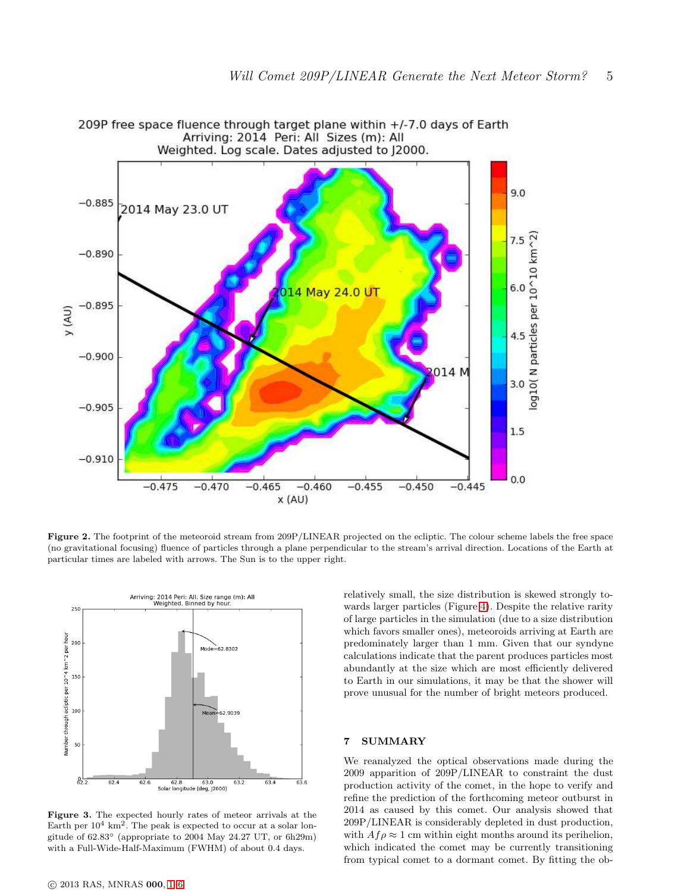

<span id="page-4-0"></span>Figure 2. The footprint of the meteoroid stream from 209P/LINEAR projected on the ecliptic. The colour scheme labels the free space (no gravitational focusing) fluence of particles through a plane perpendicular to the stream's arrival direction. Locations of the Earth at particular times are labeled with arrows. The Sun is to the upper right.



<span id="page-4-1"></span>Figure 3. The expected hourly rates of meteor arrivals at the Earth per  $10^4 \text{ km}^2$ . The peak is expected to occur at a solar longitude of 62.83◦ (appropriate to 2004 May 24.27 UT, or 6h29m) with a Full-Wide-Half-Maximum (FWHM) of about 0.4 days.

relatively small, the size distribution is skewed strongly towards larger particles (Figure [4\)](#page-5-21). Despite the relative rarity of large particles in the simulation (due to a size distribution which favors smaller ones), meteoroids arriving at Earth are predominately larger than 1 mm. Given that our syndyne calculations indicate that the parent produces particles most abundantly at the size which are most efficiently delivered to Earth in our simulations, it may be that the shower will prove unusual for the number of bright meteors produced.

### 7 SUMMARY

We reanalyzed the optical observations made during the 2009 apparition of 209P/LINEAR to constraint the dust production activity of the comet, in the hope to verify and refine the prediction of the forthcoming meteor outburst in 2014 as caused by this comet. Our analysis showed that 209P/LINEAR is considerably depleted in dust production, with  $Af \rho \approx 1$  cm within eight months around its perihelion, which indicated the comet may be currently transitioning from typical comet to a dormant comet. By fitting the ob-